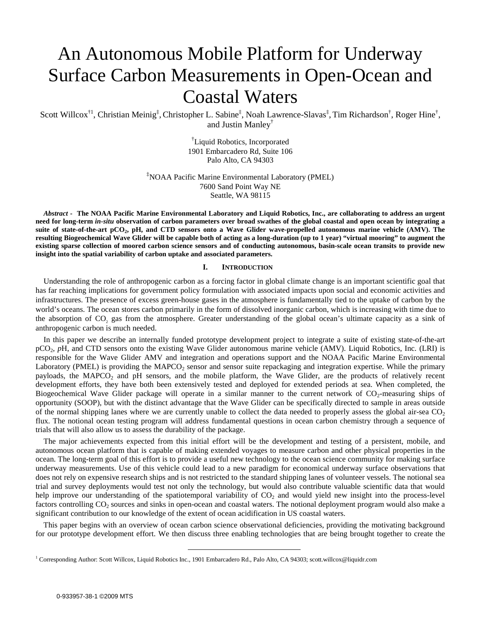# An Autonomous Mobile Platform for Underway Surface Carbon Measurements in Open-Ocean and Coastal Waters

Scott Willcox<sup>†1</sup>, Christian Meinig<sup>‡</sup>, Christopher L. Sabine<sup>‡</sup>, Noah Lawrence-Slavas<sup>‡</sup>, Tim Richardson<sup>†</sup>, Roger Hine<sup>†</sup>, and Justin Manley†

> † Liquid Robotics, Incorporated 1901 Embarcadero Rd, Suite 106 Palo Alto, CA 94303

‡ NOAA Pacific Marine Environmental Laboratory (PMEL) 7600 Sand Point Way NE Seattle, WA 98115

*Abstract* **- The NOAA Pacific Marine Environmental Laboratory and Liquid Robotics, Inc., are collaborating to address an urgent need for long-term** *in-situ* **observation of carbon parameters over broad swathes of the global coastal and open ocean by integrating a suite of state-of-the-art pCO2, pH, and CTD sensors onto a Wave Glider wave-propelled autonomous marine vehicle (AMV). The resulting Biogeochemical Wave Glider will be capable both of acting as a long-duration (up to 1 year) "virtual mooring" to augment the existing sparse collection of moored carbon science sensors and of conducting autonomous, basin-scale ocean transits to provide new insight into the spatial variability of carbon uptake and associated parameters.** 

# **I. INTRODUCTION**

Understanding the role of anthropogenic carbon as a forcing factor in global climate change is an important scientific goal that has far reaching implications for government policy formulation with associated impacts upon social and economic activities and infrastructures. The presence of excess green-house gases in the atmosphere is fundamentally tied to the uptake of carbon by the world's oceans. The ocean stores carbon primarily in the form of dissolved inorganic carbon, which is increasing with time due to the absorption of CO<sub>2</sub> gas from the atmosphere. Greater understanding of the global ocean's ultimate capacity as a sink of anthropogenic carbon is much needed.

In this paper we describe an internally funded prototype development project to integrate a suite of existing state-of-the-art pCO2, *p*H, and CTD sensors onto the existing Wave Glider autonomous marine vehicle (AMV). Liquid Robotics, Inc. (LRI) is responsible for the Wave Glider AMV and integration and operations support and the NOAA Pacific Marine Environmental Laboratory (PMEL) is providing the MAPCO<sub>2</sub> sensor and sensor suite repackaging and integration expertise. While the primary payloads, the MAPCO<sub>2</sub> and pH sensors, and the mobile platform, the Wave Glider, are the products of relatively recent development efforts, they have both been extensively tested and deployed for extended periods at sea. When completed, the Biogeochemical Wave Glider package will operate in a similar manner to the current network of  $CO<sub>2</sub>$ -measuring ships of opportunity (SOOP), but with the distinct advantage that the Wave Glider can be specifically directed to sample in areas outside of the normal shipping lanes where we are currently unable to collect the data needed to properly assess the global air-sea  $CO<sub>2</sub>$ flux. The notional ocean testing program will address fundamental questions in ocean carbon chemistry through a sequence of trials that will also allow us to assess the durability of the package.

The major achievements expected from this initial effort will be the development and testing of a persistent, mobile, and autonomous ocean platform that is capable of making extended voyages to measure carbon and other physical properties in the ocean. The long-term goal of this effort is to provide a useful new technology to the ocean science community for making surface underway measurements. Use of this vehicle could lead to a new paradigm for economical underway surface observations that does not rely on expensive research ships and is not restricted to the standard shipping lanes of volunteer vessels. The notional sea trial and survey deployments would test not only the technology, but would also contribute valuable scientific data that would help improve our understanding of the spatiotemporal variability of  $CO<sub>2</sub>$  and would yield new insight into the process-level factors controlling CO<sub>2</sub> sources and sinks in open-ocean and coastal waters. The notional deployment program would also make a significant contribution to our knowledge of the extent of ocean acidification in US coastal waters.

This paper begins with an overview of ocean carbon science observational deficiencies, providing the motivating background for our prototype development effort. We then discuss three enabling technologies that are being brought together to create the

<sup>1&</sup>lt;br>
<sup>1</sup> Corresponding Author: Scott Willcox, Liquid Robotics Inc., 1901 Embarcadero Rd., Palo Alto, CA 94303; scott.willcox@liquidr.com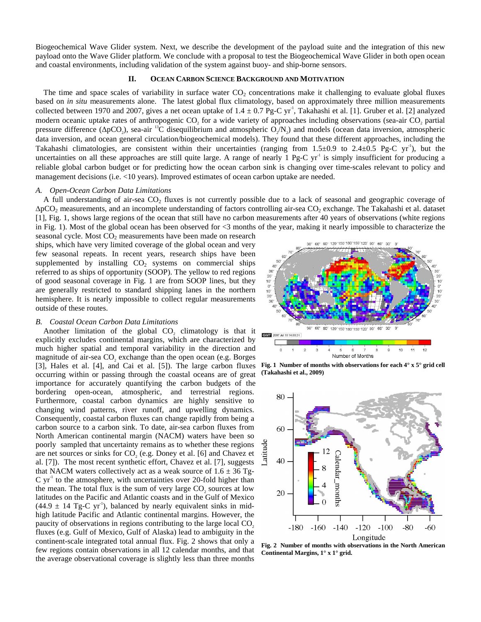Biogeochemical Wave Glider system. Next, we describe the development of the payload suite and the integration of this new payload onto the Wave Glider platform. We conclude with a proposal to test the Biogeochemical Wave Glider in both open ocean and coastal environments, including validation of the system against buoy- and ship-borne sensors.

# **II. OCEAN CARBON SCIENCE BACKGROUND AND MOTIVATION**

The time and space scales of variability in surface water  $CO<sub>2</sub>$  concentrations make it challenging to evaluate global fluxes based on *in situ* measurements alone. The latest global flux climatology, based on approximately three million measurements collected between 1970 and 2007, gives a net ocean uptake of  $1.4 \pm 0.7$  Pg-C yr<sup>-1</sup>, Takahashi et al. [1]. Gruber et al. [2] analyzed modern oceanic uptake rates of anthropogenic CO<sub>2</sub> for a wide variety of approaches including observations (sea-air CO<sub>2</sub> partial pressure difference ( $\Delta pCO_2$ ), sea-air <sup>13</sup>C disequilibrium and atmospheric  $O_2/N_2$ ) and models (ocean data inversion, atmospheric data inversion, and ocean general circulation/biogeochemical models). They found that these different approaches, including the Takahashi climatologies, are consistent within their uncertainties (ranging from  $1.5\pm0.9$  to  $2.4\pm0.5$  Pg-C yr<sup>-1</sup>), but the uncertainties on all these approaches are still quite large. A range of nearly  $1 \text{ Pg-C yr}^1$  is simply insufficient for producing a reliable global carbon budget or for predicting how the ocean carbon sink is changing over time-scales relevant to policy and management decisions (i.e. <10 years). Improved estimates of ocean carbon uptake are needed.

## *A. Open-Ocean Carbon Data Limitations*

A full understanding of air-sea  $CO<sub>2</sub>$  fluxes is not currently possible due to a lack of seasonal and geographic coverage of ∆pCO2 measurements, and an incomplete understanding of factors controlling air-sea CO2 exchange. The Takahashi et al. dataset [1], Fig. 1, shows large regions of the ocean that still have no carbon measurements after 40 years of observations (white regions in Fig. 1). Most of the global ocean has been observed for <3 months of the year, making it nearly impossible to characterize the

seasonal cycle. Most  $CO<sub>2</sub>$  measurements have been made on research ships, which have very limited coverage of the global ocean and very few seasonal repeats. In recent years, research ships have been supplemented by installing  $CO<sub>2</sub>$  systems on commercial ships referred to as ships of opportunity (SOOP). The yellow to red regions of good seasonal coverage in Fig. 1 are from SOOP lines, but they are generally restricted to standard shipping lanes in the northern hemisphere. It is nearly impossible to collect regular measurements outside of these routes.

# *B. Coastal Ocean Carbon Data Limitations*

Another limitation of the global  $CO<sub>2</sub>$  climatology is that it explicitly excludes continental margins, which are characterized by much higher spatial and temporal variability in the direction and magnitude of air-sea  $CO<sub>2</sub>$  exchange than the open ocean (e.g. Borges [3], Hales et al. [4], and Cai et al. [5]). The large carbon fluxes occurring within or passing through the coastal oceans are of great importance for accurately quantifying the carbon budgets of the bordering open-ocean, atmospheric, and terrestrial regions. Furthermore, coastal carbon dynamics are highly sensitive to changing wind patterns, river runoff, and upwelling dynamics. Consequently, coastal carbon fluxes can change rapidly from being a carbon source to a carbon sink. To date, air-sea carbon fluxes from North American continental margin (NACM) waters have been so poorly sampled that uncertainty remains as to whether these regions are net sources or sinks for  $CO<sub>2</sub>$  (e.g. Doney et al. [6] and Chavez et al. [7]). The most recent synthetic effort, Chavez et al. [7], suggests that NACM waters collectively act as a weak source of  $1.6 \pm 36$  Tg- $C$  yr<sup> $\perp$ </sup> to the atmosphere, with uncertainties over 20-fold higher than the mean. The total flux is the sum of very large  $CO<sub>2</sub>$  sources at low latitudes on the Pacific and Atlantic coasts and in the Gulf of Mexico  $(44.9 \pm 14 \text{ Tg-C yr}^1)$ , balanced by nearly equivalent sinks in midhigh latitude Pacific and Atlantic continental margins. However, the paucity of observations in regions contributing to the large local CO<sub>2</sub>. fluxes (e.g. Gulf of Mexico, Gulf of Alaska) lead to ambiguity in the continent-scale integrated total annual flux. Fig. 2 shows that only a few regions contain observations in all 12 calendar months, and that the average observational coverage is slightly less than three months



**Fig. 1 Number of months with observations for each 4° x 5° grid cell (Takahashi et al., 2009)** 



**Fig. 2 Number of months with observations in the North American Continental Margins, 1° x 1° grid.**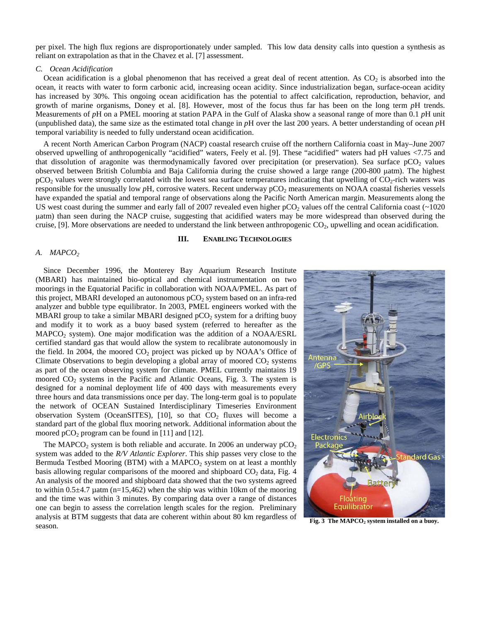per pixel. The high flux regions are disproportionately under sampled. This low data density calls into question a synthesis as reliant on extrapolation as that in the Chavez et al. [7] assessment.

# *C. Ocean Acidification*

Ocean acidification is a global phenomenon that has received a great deal of recent attention. As  $CO_2$  is absorbed into the ocean, it reacts with water to form carbonic acid, increasing ocean acidity. Since industrialization began, surface-ocean acidity has increased by 30%. This ongoing ocean acidification has the potential to affect calcification, reproduction, behavior, and growth of marine organisms, Doney et al. [8]. However, most of the focus thus far has been on the long term *p*H trends. Measurements of *p*H on a PMEL mooring at station PAPA in the Gulf of Alaska show a seasonal range of more than 0.1 *p*H unit (unpublished data), the same size as the estimated total change in *p*H over the last 200 years. A better understanding of ocean *p*H temporal variability is needed to fully understand ocean acidification.

A recent North American Carbon Program (NACP) coastal research cruise off the northern California coast in May–June 2007 observed upwelling of anthropogenically "acidified" waters, Feely et al. [9]. These "acidified" waters had pH values <7.75 and that dissolution of aragonite was thermodynamically favored over precipitation (or preservation). Sea surface  $pCO<sub>2</sub>$  values observed between British Columbia and Baja California during the cruise showed a large range (200-800 μatm). The highest  $pCO<sub>2</sub>$  values were strongly correlated with the lowest sea surface temperatures indicating that upwelling of  $CO<sub>2</sub>$ -rich waters was responsible for the unusually low  $pH$ , corrosive waters. Recent underway  $pCO<sub>2</sub>$  measurements on NOAA coastal fisheries vessels have expanded the spatial and temporal range of observations along the Pacific North American margin. Measurements along the US west coast during the summer and early fall of 2007 revealed even higher  $pCO_2$  values off the central California coast ( $\sim$ 1020) μatm) than seen during the NACP cruise, suggesting that acidified waters may be more widespread than observed during the cruise, [9]. More observations are needed to understand the link between anthropogenic  $CO_2$ , upwelling and ocean acidification.

#### **III. ENABLING TECHNOLOGIES**

#### *A. MAPCO2*

Since December 1996, the Monterey Bay Aquarium Research Institute (MBARI) has maintained bio-optical and chemical instrumentation on two moorings in the Equatorial Pacific in collaboration with NOAA/PMEL. As part of this project, MBARI developed an autonomous  $pCO<sub>2</sub>$  system based on an infra-red analyzer and bubble type equilibrator. In 2003, PMEL engineers worked with the MBARI group to take a similar MBARI designed  $pCO<sub>2</sub>$  system for a drifting buoy and modify it to work as a buoy based system (referred to hereafter as the  $MAPCO<sub>2</sub> system$ ). One major modification was the addition of a  $NOAA/ESRL$ certified standard gas that would allow the system to recalibrate autonomously in the field. In 2004, the moored  $CO<sub>2</sub>$  project was picked up by NOAA's Office of Climate Observations to begin developing a global array of moored  $CO<sub>2</sub>$  systems as part of the ocean observing system for climate. PMEL currently maintains 19 moored  $CO<sub>2</sub>$  systems in the Pacific and Atlantic Oceans, Fig. 3. The system is designed for a nominal deployment life of 400 days with measurements every three hours and data transmissions once per day. The long-term goal is to populate the network of OCEAN Sustained Interdisciplinary Timeseries Environment observation System (OceanSITES), [10], so that  $CO<sub>2</sub>$  fluxes will become a standard part of the global flux mooring network. Additional information about the moored  $pCO_2$  program can be found in [11] and [12].

The MAPCO<sub>2</sub> system is both reliable and accurate. In 2006 an underway  $pCO<sub>2</sub>$ system was added to the *R/V Atlantic Explorer*. This ship passes very close to the Bermuda Testbed Mooring (BTM) with a MAPCO<sub>2</sub> system on at least a monthly basis allowing regular comparisons of the moored and shipboard  $CO<sub>2</sub>$  data, Fig. 4 An analysis of the moored and shipboard data showed that the two systems agreed to within  $0.5\pm4.7$  µatm (n=15,462) when the ship was within 10km of the mooring and the time was within 3 minutes. By comparing data over a range of distances one can begin to assess the correlation length scales for the region. Preliminary analysis at BTM suggests that data are coherent within about 80 km regardless of season.



Fig. 3 The MAPCO<sub>2</sub> system installed on a buoy.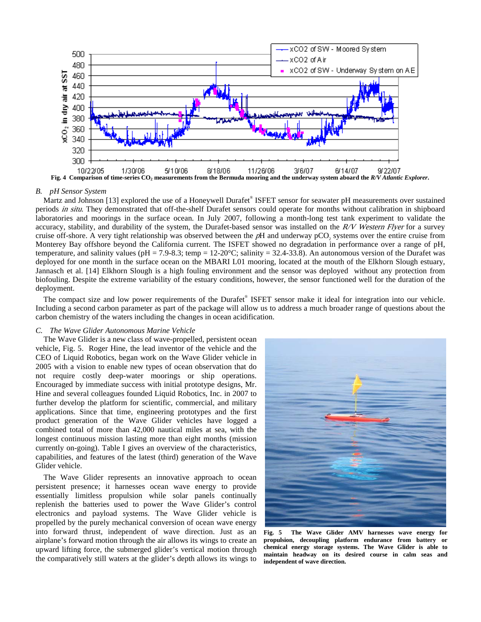

#### *B. pH Sensor System*

Martz and Johnson [13] explored the use of a Honeywell Durafet® ISFET sensor for seawater pH measurements over sustained periods in situ. They demonstrated that off-the-shelf Durafet sensors could operate for months without calibration in shipboard laboratories and moorings in the surface ocean. In July 2007, following a month-long test tank experiment to validate the accuracy, stability, and durability of the system, the Durafet-based sensor was installed on the  $R/V$  Western Flyer for a survey cruise off-shore. A very tight relationship was observed between the pH and underway pCO<sub>2</sub> systems over the entire cruise from Monterey Bay offshore beyond the California current. The ISFET showed no degradation in performance over a range of pH, temperature, and salinity values (pH = 7.9-8.3; temp = 12-20 $^{\circ}$ C; salinity = 32.4-33.8). An autonomous version of the Durafet was deployed for one month in the surface ocean on the MBARI L01 mooring, located at the mouth of the Elkhorn Slough estuary, Jannasch et al. [14] Elkhorn Slough is a high fouling environment and the sensor was deployed without any protection from biofouling. Despite the extreme variability of the estuary conditions, however, the sensor functioned well for the duration of the deployment.

The compact size and low power requirements of the Durafet® ISFET sensor make it ideal for integration into our vehicle. Including a second carbon parameter as part of the package will allow us to address a much broader range of questions about the carbon chemistry of the waters including the changes in ocean acidification.

# *C. The Wave Glider Autonomous Marine Vehicle*

The Wave Glider is a new class of wave-propelled, persistent ocean vehicle, Fig. 5. Roger Hine, the lead inventor of the vehicle and the CEO of Liquid Robotics, began work on the Wave Glider vehicle in 2005 with a vision to enable new types of ocean observation that do not require costly deep-water moorings or ship operations. Encouraged by immediate success with initial prototype designs, Mr. Hine and several colleagues founded Liquid Robotics, Inc. in 2007 to further develop the platform for scientific, commercial, and military applications. Since that time, engineering prototypes and the first product generation of the Wave Glider vehicles have logged a combined total of more than 42,000 nautical miles at sea, with the longest continuous mission lasting more than eight months (mission currently on-going). Table I gives an overview of the characteristics, capabilities, and features of the latest (third) generation of the Wave Glider vehicle.

The Wave Glider represents an innovative approach to ocean persistent presence; it harnesses ocean wave energy to provide essentially limitless propulsion while solar panels continually replenish the batteries used to power the Wave Glider's control electronics and payload systems. The Wave Glider vehicle is propelled by the purely mechanical conversion of ocean wave energy into forward thrust, independent of wave direction. Just as an airplane's forward motion through the air allows its wings to create an upward lifting force, the submerged glider's vertical motion through the comparatively still waters at the glider's depth allows its wings to



**Fig. 5 The Wave Glider AMV harnesses wave energy for propulsion, decoupling platform endurance from battery or chemical energy storage systems. The Wave Glider is able to maintain headway on its desired course in calm seas and independent of wave direction.**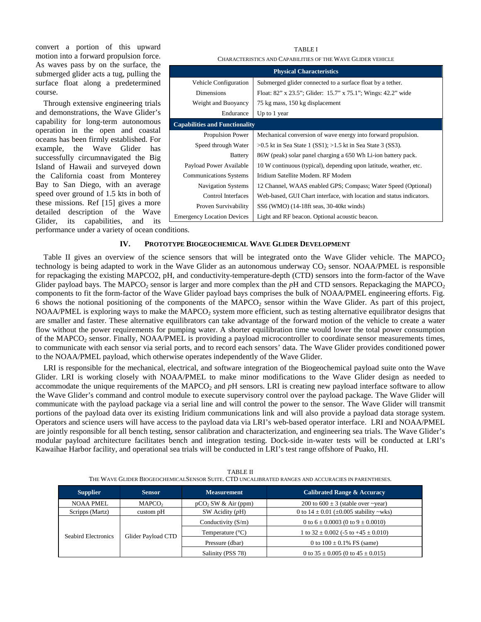convert a portion of this upward motion into a forward propulsion force. As waves pass by on the surface, the submerged glider acts a tug, pulling the surface float along a predetermined course.

Through extensive engineering trials and demonstrations, the Wave Glider's capability for long-term autonomous operation in the open and coastal oceans has been firmly established. For example, the Wave Glider has successfully circumnavigated the Big Island of Hawaii and surveyed down the California coast from Monterey Bay to San Diego, with an average speed over ground of 1.5 kts in both of these missions. Ref [15] gives a more detailed description of the Wave Glider, its capabilities, and its

| CHARACTERISTICS AND CAPABILITIES OF THE WAVE GLIDER VEHICLE |                                                                      |  |  |
|-------------------------------------------------------------|----------------------------------------------------------------------|--|--|
| <b>Physical Characteristics</b>                             |                                                                      |  |  |
| Vehicle Configuration                                       | Submerged glider connected to a surface float by a tether.           |  |  |
| <b>Dimensions</b>                                           | Float: 82" x 23.5"; Glider: 15.7" x 75.1"; Wings: 42.2" wide         |  |  |
| Weight and Buoyancy                                         | 75 kg mass, 150 kg displacement                                      |  |  |
| Endurance                                                   | Up to 1 year                                                         |  |  |
| <b>Capabilities and Functionality</b>                       |                                                                      |  |  |
| <b>Propulsion Power</b>                                     | Mechanical conversion of wave energy into forward propulsion.        |  |  |
| Speed through Water                                         | $>0.5$ kt in Sea State 1 (SS1); $>1.5$ kt in Sea State 3 (SS3).      |  |  |
| <b>Battery</b>                                              | 86W (peak) solar panel charging a 650 Wh Li-ion battery pack.        |  |  |
| Payload Power Available                                     | 10 W continuous (typical), depending upon latitude, weather, etc.    |  |  |
| <b>Communications Systems</b>                               | Iridium Satellite Modem. RF Modem                                    |  |  |
| <b>Navigation Systems</b>                                   | 12 Channel, WAAS enabled GPS; Compass; Water Speed (Optional)        |  |  |
| Control Interfaces                                          | Web-based, GUI Chart interface, with location and status indicators. |  |  |
| Proven Survivability                                        | SS6 (WMO) (14-18ft seas, 30-40kt winds)                              |  |  |
| <b>Emergency Location Devices</b>                           | Light and RF beacon. Optional acoustic beacon.                       |  |  |

TABLE I

performance under a variety of ocean conditions.

## **IV. PROTOTYPE BIOGEOCHEMICAL WAVE GLIDER DEVELOPMENT**

Table II gives an overview of the science sensors that will be integrated onto the Wave Glider vehicle. The MAPCO<sub>2</sub> technology is being adapted to work in the Wave Glider as an autonomous underway  $CO_2$  sensor. NOAA/PMEL is responsible for repackaging the existing MAPCO2, pH, and conductivity-temperature-depth (CTD) sensors into the form-factor of the Wave Glider payload bays. The MAPCO<sub>2</sub> sensor is larger and more complex than the  $pH$  and CTD sensors. Repackaging the MAPCO<sub>2</sub> components to fit the form-factor of the Wave Glider payload bays comprises the bulk of NOAA/PMEL engineering efforts. Fig. 6 shows the notional positioning of the components of the MAPCO<sub>2</sub> sensor within the Wave Glider. As part of this project,  $NOAA/PEL$  is exploring ways to make the  $MAPCO<sub>2</sub>$  system more efficient, such as testing alternative equilibrator designs that are smaller and faster. These alternative equilibrators can take advantage of the forward motion of the vehicle to create a water flow without the power requirements for pumping water. A shorter equilibration time would lower the total power consumption of the MAPCO<sub>2</sub> sensor. Finally, NOAA/PMEL is providing a payload microcontroller to coordinate sensor measurements times, to communicate with each sensor via serial ports, and to record each sensors' data. The Wave Glider provides conditioned power to the NOAA/PMEL payload, which otherwise operates independently of the Wave Glider.

LRI is responsible for the mechanical, electrical, and software integration of the Biogeochemical payload suite onto the Wave Glider. LRI is working closely with NOAA/PMEL to make minor modifications to the Wave Glider design as needed to accommodate the unique requirements of the MAPCO<sub>2</sub> and *p*H sensors. LRI is creating new payload interface software to allow the Wave Glider's command and control module to execute supervisory control over the payload package. The Wave Glider will communicate with the payload package via a serial line and will control the power to the sensor. The Wave Glider will transmit portions of the payload data over its existing Iridium communications link and will also provide a payload data storage system. Operators and science users will have access to the payload data via LRI's web-based operator interface. LRI and NOAA/PMEL are jointly responsible for all bench testing, sensor calibration and characterization, and engineering sea trials. The Wave Glider's modular payload architecture facilitates bench and integration testing. Dock-side in-water tests will be conducted at LRI's Kawaihae Harbor facility, and operational sea trials will be conducted in LRI's test range offshore of Puako, HI.

| <b>Supplier</b>     | <b>Sensor</b>      | <b>Measurement</b>              | <b>Calibrated Range &amp; Accuracy</b>           |
|---------------------|--------------------|---------------------------------|--------------------------------------------------|
| <b>NOAA PMEL</b>    | MAPCO <sub>2</sub> | pCO <sub>2</sub> SW & Air (ppm) | 200 to $600 \pm 3$ (stable over ~year)           |
| Scripps (Martz)     | custom pH          | SW Acidity $(pH)$               | 0 to $14 \pm 0.01$ ( $\pm 0.005$ stability ~wks) |
| Seabird Electronics | Glider Payload CTD | Conductivity (S/m)              | 0 to $6 \pm 0.0003$ (0 to $9 \pm 0.0010$ )       |
|                     |                    | Temperature $(^{\circ}C)$       | 1 to $32 \pm 0.002$ (-5 to $+45 \pm 0.010$ )     |
|                     |                    | Pressure (dbar)                 | 0 to $100 \pm 0.1\%$ FS (same)                   |
|                     |                    | Salinity (PSS 78)               | 0 to $35 \pm 0.005$ (0 to $45 \pm 0.015$ )       |

TABLE II THE WAVE GLIDER BIOGEOCHEMICALSENSOR SUITE. CTD UNCALIBRATED RANGES AND ACCURACIES IN PARENTHESES.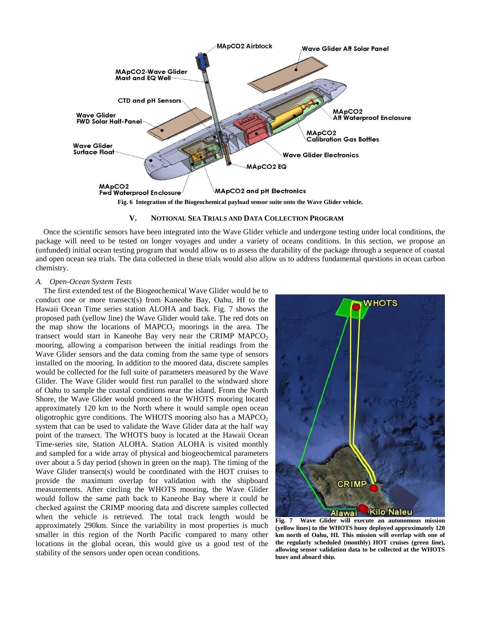

**Fig. 6 Integration of the Biogeochemical payload sensor suite onto the Wave Glider vehicle.** 

### **V. NOTIONAL SEA TRIALS AND DATA COLLECTION PROGRAM**

Once the scientific sensors have been integrated into the Wave Glider vehicle and undergone testing under local conditions, the package will need to be tested on longer voyages and under a variety of oceans conditions. In this section, we propose an (unfunded) initial ocean testing program that would allow us to assess the durability of the package through a sequence of coastal and open ocean sea trials. The data collected in these trials would also allow us to address fundamental questions in ocean carbon chemistry.

## *A. Open-Ocean System Tests*

The first extended test of the Biogeochemical Wave Glider would be to conduct one or more transect(s) from Kaneohe Bay, Oahu, HI to the Hawaii Ocean Time series station ALOHA and back. Fig. 7 shows the proposed path (yellow line) the Wave Glider would take. The red dots on the map show the locations of  $MAPCO<sub>2</sub>$  moorings in the area. The transect would start in Kaneohe Bay very near the CRIMP  $MAPCO<sub>2</sub>$ mooring, allowing a comparison between the initial readings from the Wave Glider sensors and the data coming from the same type of sensors installed on the mooring. In addition to the moored data, discrete samples would be collected for the full suite of parameters measured by the Wave Glider. The Wave Glider would first run parallel to the windward shore of Oahu to sample the coastal conditions near the island. From the North Shore, the Wave Glider would proceed to the WHOTS mooring located approximately 120 km to the North where it would sample open ocean oligotrophic gyre conditions. The WHOTS mooring also has a  $MAPCO<sub>2</sub>$ system that can be used to validate the Wave Glider data at the half way point of the transect. The WHOTS buoy is located at the Hawaii Ocean Time-series site, Station ALOHA. Station ALOHA is visited monthly and sampled for a wide array of physical and biogeochemical parameters over about a 5 day period (shown in green on the map). The timing of the Wave Glider transect(s) would be coordinated with the HOT cruises to provide the maximum overlap for validation with the shipboard measurements. After circling the WHOTS mooring, the Wave Glider would follow the same path back to Kaneohe Bay where it could be checked against the CRIMP mooring data and discrete samples collected when the vehicle is retrieved. The total track length would be approximately 290km. Since the variability in most properties is much smaller in this region of the North Pacific compared to many other locations in the global ocean, this would give us a good test of the stability of the sensors under open ocean conditions.



**Fig. 7 Wave Glider will execute an autonomous mission (yellow lines) to the WHOTS buoy deployed approximately 120 km north of Oahu, HI. This mission will overlap with one of the regularly scheduled (monthly) HOT cruises (green line), allowing sensor validation data to be collected at the WHOTS buoy and aboard ship.**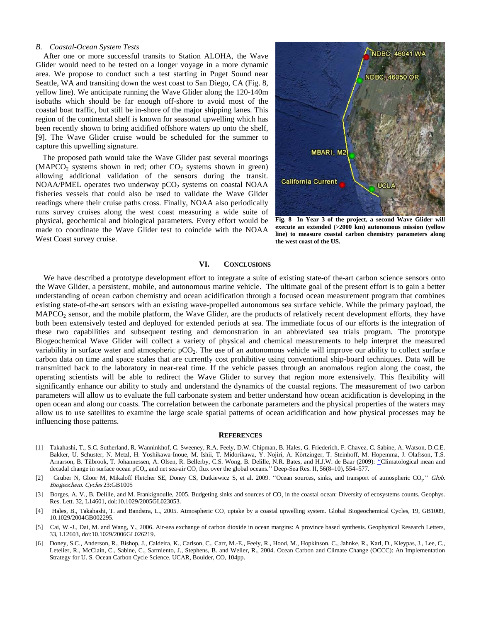## *B. Coastal-Ocean System Tests*

After one or more successful transits to Station ALOHA, the Wave Glider would need to be tested on a longer voyage in a more dynamic area. We propose to conduct such a test starting in Puget Sound near Seattle, WA and transiting down the west coast to San Diego, CA (Fig. 8, yellow line). We anticipate running the Wave Glider along the 120-140m isobaths which should be far enough off-shore to avoid most of the coastal boat traffic, but still be in-shore of the major shipping lanes. This region of the continental shelf is known for seasonal upwelling which has been recently shown to bring acidified offshore waters up onto the shelf, [9]. The Wave Glider cruise would be scheduled for the summer to capture this upwelling signature.

The proposed path would take the Wave Glider past several moorings  $(MAPCO<sub>2</sub>$  systems shown in red; other  $CO<sub>2</sub>$  systems shown in green) allowing additional validation of the sensors during the transit. NOAA/PMEL operates two underway  $pCO<sub>2</sub>$  systems on coastal NOAA fisheries vessels that could also be used to validate the Wave Glider readings where their cruise paths cross. Finally, NOAA also periodically runs survey cruises along the west coast measuring a wide suite of physical, geochemical and biological parameters. Every effort would be made to coordinate the Wave Glider test to coincide with the NOAA West Coast survey cruise.



**Fig. 8 In Year 3 of the project, a second Wave Glider will execute an extended (>2000 km) autonomous mission (yellow line) to measure coastal carbon chemistry parameters along the west coast of the US.** 

# **VI. CONCLUSIONS**

We have described a prototype development effort to integrate a suite of existing state-of the-art carbon science sensors onto the Wave Glider, a persistent, mobile, and autonomous marine vehicle. The ultimate goal of the present effort is to gain a better understanding of ocean carbon chemistry and ocean acidification through a focused ocean measurement program that combines existing state-of-the-art sensors with an existing wave-propelled autonomous sea surface vehicle. While the primary payload, the  $MAPCO<sub>2</sub> sensor, and the mobile platform, the Wave Gilder, are the products of relatively recent development efforts, they have$ both been extensively tested and deployed for extended periods at sea. The immediate focus of our efforts is the integration of these two capabilities and subsequent testing and demonstration in an abbreviated sea trials program. The prototype Biogeochemical Wave Glider will collect a variety of physical and chemical measurements to help interpret the measured variability in surface water and atmospheric  $pCO<sub>2</sub>$ . The use of an autonomous vehicle will improve our ability to collect surface carbon data on time and space scales that are currently cost prohibitive using conventional ship-board techniques. Data will be transmitted back to the laboratory in near-real time. If the vehicle passes through an anomalous region along the coast, the operating scientists will be able to redirect the Wave Glider to survey that region more extensively. This flexibility will significantly enhance our ability to study and understand the dynamics of the coastal regions. The measurement of two carbon parameters will allow us to evaluate the full carbonate system and better understand how ocean acidification is developing in the open ocean and along our coasts. The correlation between the carbonate parameters and the physical properties of the waters may allow us to use satellites to examine the large scale spatial patterns of ocean acidification and how physical processes may be influencing those patterns.

#### **REFERENCES**

- [1] Takahashi, T., S.C. Sutherland, R. Wanninkhof, C. Sweeney, R.A. Feely, D.W. Chipman, B. Hales, G. Friederich, F. Chavez, C. Sabine, A. Watson, D.C.E. Bakker, U. Schuster, N. Metzl, H. Yoshikawa-Inoue, M. Ishii, T. Midorikawa, Y. Nojiri, A. Körtzinger, T. Steinhoff, M. Hopemma, J. Olafsson, T.S. Arnarson, B. Tilbrook, T. Johannessen, A. Olsen, R. Bellerby, C.S. Wong, B. Delille, N.R. Bates, and H.J.W. de Baar (2009): ''Climatological mean and decadal change in surface ocean pCO<sub>2</sub>, and net sea-air  $CO_2$  flux over the global oceans." Deep-Sea Res. II, 56(8-10), 554-577.
- [2] Gruber N, Gloor M, Mikaloff Fletcher SE, Doney CS, Dutkiewicz S, et al. 2009. "Ocean sources, sinks, and transport of atmospheric CO<sub>2</sub>." Glob. Biogeochem. Cycles 23:GB1005
- [3] Borges, A. V., B. Delille, and M. Frankignoulle, 2005. Budgeting sinks and sources of CO<sub>2</sub> in the coastal ocean: Diversity of ecosystems counts. Geophys. Res. Lett. 32, L14601, doi:10.1029/2005GL023053.
- [4] Hales, B., Takahashi, T. and Bandstra, L., 2005. Atmospheric CO<sub>2</sub> uptake by a coastal upwelling system. Global Biogeochemical Cycles, 19, GB1009, 10.1029/2004GB002295.
- [5] Cai, W.-J., Dai, M. and Wang, Y., 2006. Air-sea exchange of carbon dioxide in ocean margins: A province based synthesis. Geophysical Research Letters, 33, L12603, doi:10.1029/2006GL026219.
- [6] Doney, S.C., Anderson, R., Bishop, J., Caldeira, K., Carlson, C., Carr, M.-E., Feely, R., Hood, M., Hopkinson, C., Jahnke, R., Karl, D., Kleypas, J., Lee, C., Letelier, R., McClain, C., Sabine, C., Sarmiento, J., Stephens, B. and Weller, R., 2004. Ocean Carbon and Climate Change (OCCC): An Implementation Strategy for U. S. Ocean Carbon Cycle Science. UCAR, Boulder, CO, 104pp.